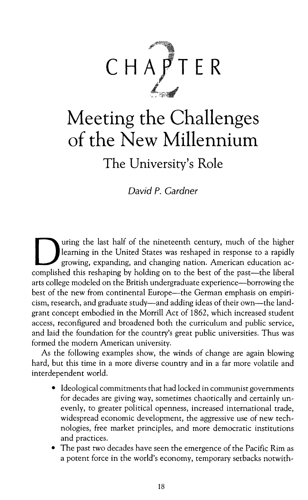

# Meeting the Challenges **of the New Millennium**

**The University's Role** 

*David P. Gardner* 

I uring the last half of the nineteenth century, much of the higher<br>learning in the United States was reshaped in response to a rapidly<br>growing, expanding, and changing nation. American education ac-<br>complished this reshan learning in the United States was reshaped in response to a rapidly growing, expanding, and changing nation. American education ac, complished this reshaping by holding on to the best of the past—the liberal arts college modeled on the British undergraduate experience-borrowing the best of the new from continental Europe-the German emphasis on empiricism, research, and graduate study—and adding ideas of their own—the landgrant concept embodied in the Morrill Act of 1862, which increased student access, reconfigured and broadened both the curriculum and public service, and laid the foundation for the country's great public universities. Thus was formed the modern American university.

As the following examples show, the winds of change are again blowing hard, but this time in a more diverse country and in a far more volatile and interdependent world.

- Ideological commitments that had locked in communist governments for decades are giving way, sometimes chaotically and certainly un, evenly, to greater political openness, increased international trade, widespread economic development, the aggressive use of new technologies, free market principles, and more democratic institutions and practices.
- The past two decades have seen the emergence of the Pacific Rim as a potent force in the world's economy, temporary setbacks notwith-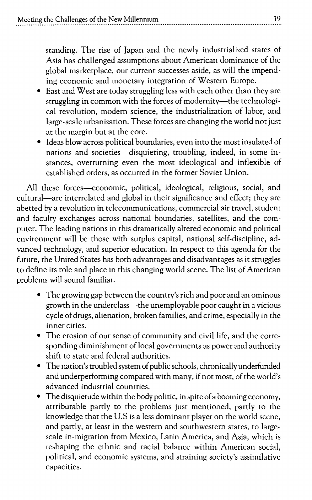standing. The rise of Japan and the newly industrialized states of Asia has challenged assumptions about American dominance of the global marketplace, our current successes aside, as will the impending economic and monetary integration of Western Europe.

- East and West are today struggling less with each other than they are struggling in common with the forces of modernity-the technological revolution, modem science, the industrialization of labor, and large-scale urbanization. These forces are changing the world not just at the margin but at the core.
- Ideas blow across political boundaries, even into the most insulated of nations and societies-disquieting, troubling, indeed, in some instances, overturning even the most ideological and inflexible of established orders, as occurred in the former Soviet Union.

All these forces-economic, political, ideological, religious, social, and cultural-are interrelated and global in their significance and effect; they are abetted by a revolution in telecommunications, commercial air travel, student and faculty exchanges across national boundaries, satellites, and the computer. The leading nations in this dramatically altered economic and political environment will be those with surplus capital, national self-discipline, advanced technology, and superior education. In respect to this agenda for the future, the United States has both advantages and disadvantages as it struggles to define its role and place in this changing world scene. The list of American problems will sound familiar.

- The growing gap between the country's rich and poor and an ominous growth in the underclass—the unemployable poor caught in a vicious cycle of drugs, alienation, broken families, and crime, especially in the inner cities.
- The erosion of our sense of community and civil life, and the corresponding diminishment of local governments as power and authority shift to state and federal authorities.
- The nation's troubled system of public schools, chronically underfunded and underperforming compared with many, if not most, of the world's advanced industrial countries.
- The disquietude within the body politic, in spite of a booming economy, attributable partly to the problems just mentioned, partly to the knowledge that the U.S is a less dominant player on the world scene, and partly, at least in the western and southwestern states, to largescale in-migration from Mexico, Latin America, and Asia, which is reshaping the ethnic and racial balance within American social, political, and economic systems, and straining society's assimilative capacities.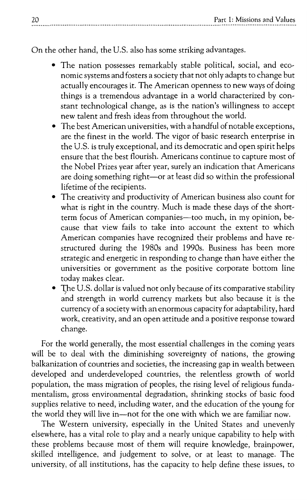On the other hand, the U.S. also has some striking advantages.

- The nation possesses remarkably stable political, social, and eco, nomic systems and fosters a society that not ohly adapts to change but actually encourages it. The American openness to new ways of doing things is a tremendous advantage in a world characterized by con, stant technological change, as is the nation's willingness to accept new talent and fresh ideas from throughout the world.
- The best American universities, with a handful of notable exceptions, are the finest in the world. The vigor of basic research enterprise in the U.S. is truly exceptional, and its democratic and open spirit helps ensure that the best flourish. Americans continue to capture most of the Nobel Prizes year after year, surely an indication that Americans are doing something right-or at least did so within the professional lifetime of the recipients.
- The creativity and productivity of American business also count for what is right in the country. Much is made these days of the shortterm focus of American companies-too much, in my opinion, because that view fails to take into account the extent to which American companies have recognized their problems and have re, structured during the 1980s and 1990s. Business has been more strategic and energetic in responding to change than have either the universities or government as the positive corporate bottom line today makes clear.
- The U.S. dollar is valued not only because of its comparative stability and strength in world currency markets but also because it is the currency of a society with an enormous capacity for adaptability, hard work, creativity, and an open attitude and a positive response toward change.

For the world generally, the most essential challenges in the coming years will be to deal with the diminishing sovereignty of nations, the growing balkanization of countries and societies, the increasing gap in wealth between developed and underdeveloped countries, the relentless growth of world population, the mass migration of peoples, the rising level of religious funda, mentalism, gross environmental degradation, shrinking stocks of basic food supplies relative to need, including water, and the education of the young for the world they will live in-not for the one with which we are familiar now.

The Western university, especially in the United States and unevenly elsewhere, has a vital role to play and a nearly unique capability to help with these problems because most of them will require knowledge, brainpower, skilled intelligence, and judgement to solve, or at least to manage. The university, of all institutions, has the capacity to help define these issues, to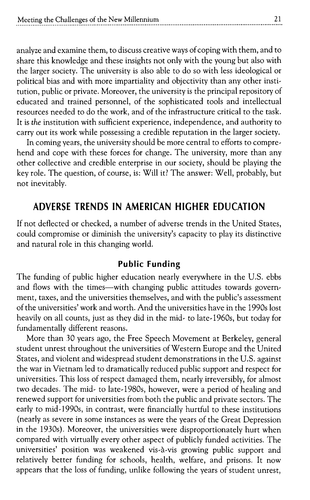analyze and examine them, to discuss creative ways of coping with them, and to share this knowledge and these insights not only with the young but also with the larger society. The university is also able to do so with less ideological or political bias and with more impartiality and objectivity than any other institution, public or private. Moreover, the university is the principal repository of educated and trained personnel, of the sophisticated tools and intellectual resources needed to do the work, and of the infrastructure critical to the task. It is *the* institution with sufficient experience, independence, and authority to carry out its work while possessing a credible reputation in the larger society.

In coming years, the university should be more central to efforts to comprehend and cope with these forces for change. The university, more than any other collective and credible enterprise in our society, should be playing the key role. The question, of course, is: Will it? The answer: Well, probably, but not inevitably.

# **ADVERSE TRENDS IN AMERICAN HIGHER EDUCATION**

If not deflected or checked, a number of adverse trends in the United States, could compromise or diminish the university's capacity to play its distinctive and natural role in this changing world.

#### **Public Funding**

The funding of public higher education nearly everywhere in the U.S. ebbs and flows with the times-with changing public attitudes towards government, taxes, and the universities themselves, and with the public's assessment of the universities' work and worth. And the universities have in the 1990s lost heavily on all counts, just as they did in the mid- to late-1960s, but today for fundamentally different reasons.

More than 30 years ago, the Free Speech Movement at Berkeley, general student unrest throughout the universities of Western Europe and the United States, and violent and widespread student demonstrations in the U.S. against the war in Vietnam led to dramatically reduced public support and respect for universities. This loss of respect damaged them, nearly irreversibly, for almost two decades. The mid- to late-1980s, however, were a period of healing and renewed support for universities from both the public and private sectors. The early to mid-1990s, in contrast, were financially hurtful to these institutions (nearly as severe in some instances as were the years of the Great Depression in the 1930s). Moreover, the universities were disproportionately hurt when compared with virtually every other aspect of publicly funded activities. The universities' position was weakened vis-à-vis growing public support and relatively better funding for schools, health, welfare, and prisons. It now appears that the loss of funding, unlike following the years of student unrest,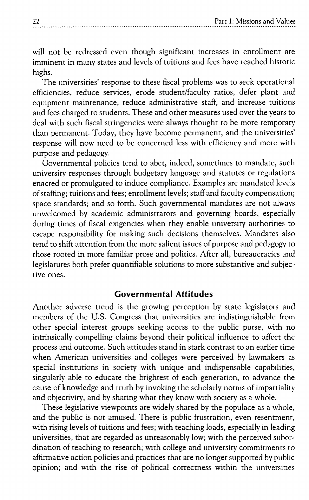will not be redressed even though significant increases in enrollment are imminent in many states and levels of tuitions and fees have reached historic highs.

The universities' response to these fiscal problems was to seek operational efficiencies, reduce services, erode student/faculty ratios, defer plant and equipment maintenance, reduce administrative staff, and increase tuitions and fees charged to students. These and other measures used over the years to deal with such fiscal stringencies were always thought to be more temporary than permanent. Today, they have become permanent, and the universities' response will now need to be concerned less with efficiency and more with purpose and pedagogy.

Governmental policies tend to abet, indeed, sometimes to mandate, such university responses through budgetary language and statutes or regulations enacted or promulgated to induce compliance. Examples are mandated levels of staffing; tuitions and fees; enrollment levels; staff and faculty compensation; space standards; and so forth. Such governmental mandates are not always unwelcomed by academic administrators and governing boards, especially during times of fiscal exigencies when they enable university authorities to escape responsibility for making such decisions themselves. Mandates also tend to shift attention from the more salient issues of purpose and pedagogy to those rooted in more familiar prose and politics. After all, bureaucracies and legislatures both prefer quantifiable solutions to more substantive and subjective ones.

#### **Govern mental Attitudes**

Another adverse trend is the growing perception by state legislators and members of the U.S. Congress that universities are indistinguishable from other special interest groups seeking access to the public purse, with no intrinsically compelling claims beyond their political influence to affect the process and outcome. Such attitudes stand in stark contrast to an earlier time when American universities and colleges were perceived by lawmakers as special institutions in society with unique and indispensable capabilities, singularly able to educate the brightest of each generation, to advance the cause of knowledge and truth by invoking the scholarly norms of impartiality and objectivity, and by sharing what they know with society as a whole.

These legislative viewpoints are widely shared by the populace as a whole, and the public is not amused. There is public frustration, even resentment, with rising levels of tuitions and fees; with teaching loads, especially in leading universities, that are regarded as unreasonably low; with the perceived subordination of teaching to research; with college and university commitments to affirmative action policies and practices that are no longer supported by public opinion; and with the rise of political correctness within the universities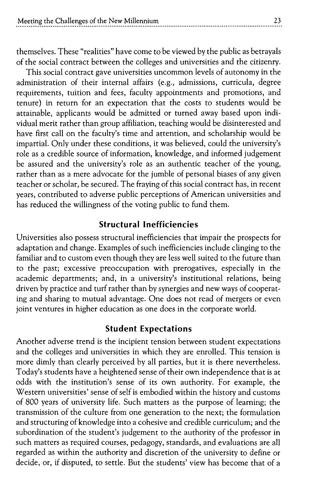themselves. These "realities" have come to be viewed by the public as betrayals of the social contract between the colleges and universities and the citizenry.

This social contract gave universities uncommon levels of autonomy in the administration of their internal affairs (e.g., admissions, curricula, degree requirements, tuition and fees, faculty appointments and promotions, and tenure) in return for an expectation that the costs to students would be attainable, applicants would be admitted or turned away based upon individual merit rather than group affiliation, teaching would be disinterested and have first call on the faculty's time and attention, and scholarship would be impattial. Only under these conditions, it was believed, could the university's role as a credible source of information, knowledge, and informed judgement be assured and the university's role as an authentic teacher of the young, rather than as a mere advocate for the jumble of personal biases of any given teacher or scholar, be secured. The fraying of this social contract has, in recent years, contributed to adverse public perceptions of American universities and has reduced the willingness of the voting public to fund them.

### **Structural Inefficiencies**

Universities also possess structural inefficiencies that impair the prospects for adaptation and change. Examples of such inefficiencies include clinging to the familiar and to custom even though they are less well suited to the future than to the past; excessive preoccupation with prerogatives, especially in the academic departments; and, in a university's institutional relations, being driven by practice and turf rather than by synergies and new ways of cooperat, ing and sharing to mutual advantage. One does not read of mergers or even joint ventures in higher education as one does in the corporate world.

#### **Student Expectations**

Another adverse trend is the incipient tension between student expectations and the colleges and universities in which they are enrolled. This tension is more dimly than clearly perceived by all parties, but it is there nevertheless. Today's students have a heightened sense of their own independence that is at odds with the institution's sense of its own authority. For example, the Western universities' sense of self is embodied within the history and customs of 800 years of university life. Such matters as the purpose of learning; the transmission of the culture from one generation to the next; the formulation and structuring of knowledge into a cohesive and credible curriculum; and the subordination of the student's judgement to the authority of the professor in such matters as required courses, pedagogy, standards, and evaluations are all regarded as within the authority and discretion of the university to define or decide, or, if disputed, to settle. But the students' view has become that of a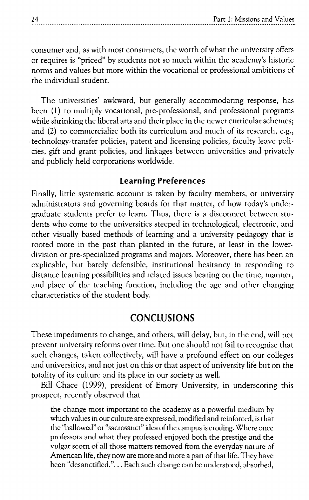consumer and, as with most consumers, the worth of what the university offers or requires is "priced" by students not so much within the academy's historic norms and values but more within the vocational or professional ambitions of the individual student.

The universities' awkward, but generally accommodating response, has been (1) to multiply vocational, pre, professional, and professional programs while shrinking the liberal arts and their place in the newer curricular schemes; and (2) to commercialize both its curriculum and much of its research, e.g., technology-transfer policies, patent and licensing policies, faculty leave policies, gift and grant policies, and linkages between universities and privately and publicly held corporations worldwide.

## **Learning Preferences**

Finally, little systematic account is taken by faculty members, or university administrators and governing boards for that matter, of how today's undergraduate students prefer to learn. Thus, there is a disconnect between students who come to the universities steeped in technological, electronic, and other visually based methods of learning and a university pedagogy that is rooted more in the past than planted in the future, at least in the lowerdivision or pre,specialized programs and majors. Moreover, there has been an explicable, but barely defensible, institutional hesitancy in responding to distance learning possibilities and related issues bearing on the time, manner, and place of the teaching function, including the age and other changing characteristics of the student body.

## **CONCLUSIONS**

These impediments to change, and others, will delay, but, in the end, will not prevent university reforms over time. But one should not fail to recognize that such changes, taken collectively, will have a profound effect on our colleges and universities, and not just on this or that aspect of university life but on the totality of its culture and its place in our society as well.

Bill Chace (1999), president of Emory University, in underscoring this prospect, recently observed that

the change most important to the academy as a powerful medium by which values in our culture are expressed, modified and reinforced, is that the "hallowed" or "sacrosanct" idea of the campus is eroding. Where once professors and what they professed enjoyed both the prestige and the vulgar scorn of all those matters removed from the everyday nature of American life, they now are more and more a part of that life. They have been "desanctified." ... Each such change can be understood, absorbed,